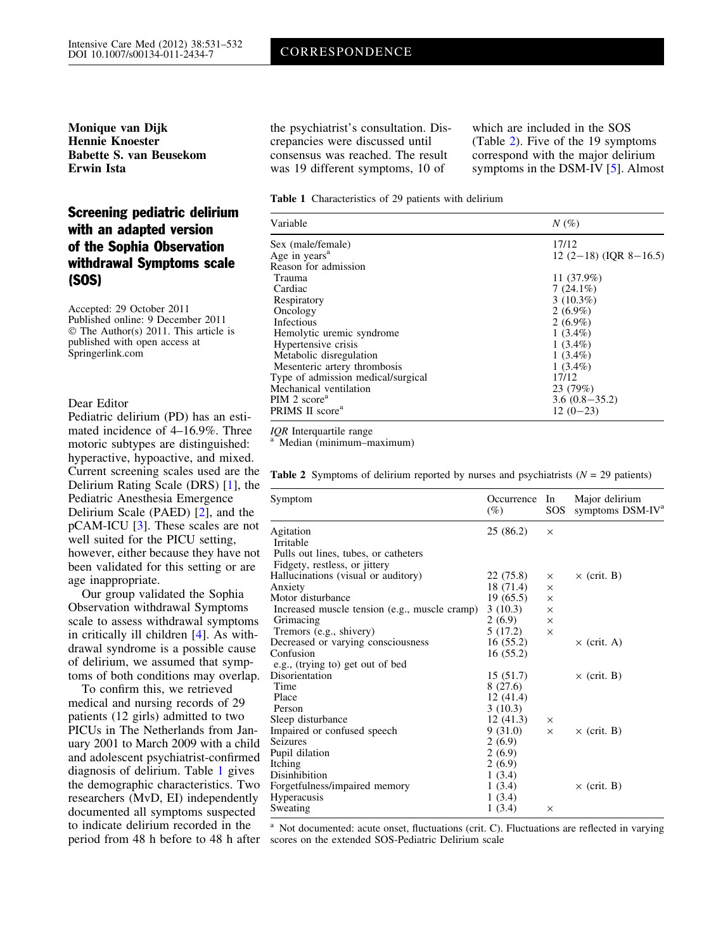<span id="page-0-0"></span>Monique van Dijk Hennie Knoester Babette S. van Beusekom Erwin Ista

# Screening pediatric delirium with an adapted version of the Sophia Observation withdrawal Symptoms scale (SOS)

Accepted: 29 October 2011 Published online: 9 December 2011 © The Author(s) 2011. This article is published with open access at Springerlink.com

### Dear Editor

Pediatric delirium (PD) has an estimated incidence of 4–16.9%. Three motoric subtypes are distinguished: hyperactive, hypoactive, and mixed. Delirium Rating Scale (DRS) [[1](#page-1-0)], the Pediatric Anesthesia Emergence Delirium Scale (PAED) [\[2\]](#page-1-0), and the pCAM-ICU [\[3](#page-1-0)]. These scales are not well suited for the PICU setting, however, either because they have not been validated for this setting or are age inappropriate.

Our group validated the Sophia Observation withdrawal Symptoms scale to assess withdrawal symptoms in critically ill children [[4](#page-1-0)]. As withdrawal syndrome is a possible cause of delirium, we assumed that symptoms of both conditions may overlap.

To confirm this, we retrieved medical and nursing records of 29 patients (12 girls) admitted to two PICUs in The Netherlands from January 2001 to March 2009 with a child and adolescent psychiatrist-confirmed diagnosis of delirium. Table 1 gives the demographic characteristics. Two researchers (MvD, EI) independently documented all symptoms suspected to indicate delirium recorded in the period from 48 h before to 48 h after

the psychiatrist's consultation. Discrepancies were discussed until consensus was reached. The result was 19 different symptoms, 10 of

which are included in the SOS (Table 2). Five of the 19 symptoms correspond with the major delirium symptoms in the DSM-IV [[5](#page-1-0)]. Almost

#### Table 1 Characteristics of 29 patients with delirium

| Variable                           | $N(\%)$                 |  |  |
|------------------------------------|-------------------------|--|--|
| Sex (male/female)                  | 17/12                   |  |  |
| Age in years <sup>a</sup>          | $12(2-18)$ (IOR 8-16.5) |  |  |
| Reason for admission               |                         |  |  |
| Trauma                             | 11 $(37.9\%)$           |  |  |
| Cardiac                            | $7(24.1\%)$             |  |  |
| Respiratory                        | $3(10.3\%)$             |  |  |
| Oncology                           | $2(6.9\%)$              |  |  |
| Infectious                         | $2(6.9\%)$              |  |  |
| Hemolytic uremic syndrome          | $1(3.4\%)$              |  |  |
| Hypertensive crisis                | $1(3.4\%)$              |  |  |
| Metabolic disregulation            | $1(3.4\%)$              |  |  |
| Mesenteric artery thrombosis       | $1(3.4\%)$              |  |  |
| Type of admission medical/surgical | 17/12                   |  |  |
| Mechanical ventilation             | 23 (79%)                |  |  |
| PIM 2 score <sup>a</sup>           | $3.6(0.8-35.2)$         |  |  |
| PRIMS II score <sup>a</sup>        | $12(0-23)$              |  |  |

 $IQR$  Interquartile range<br><sup>a</sup> Median (minimum–maximum)

Current screening scales used are the Table 2 Symptoms of delirium reported by nurses and psychiatrists ( $N = 29$  patients)

| Symptom                                       | Occurrence In<br>$(\%)$ | SOS.     | Major delirium<br>symptoms DSM-IV <sup>a</sup> |
|-----------------------------------------------|-------------------------|----------|------------------------------------------------|
| Agitation                                     | 25(86.2)                | $\times$ |                                                |
| Irritable                                     |                         |          |                                                |
| Pulls out lines, tubes, or catheters          |                         |          |                                                |
| Fidgety, restless, or jittery                 |                         |          |                                                |
| Hallucinations (visual or auditory)           | 22 (75.8)               | $\times$ | $\times$ (crit. B)                             |
| Anxiety                                       | 18 (71.4)               | X        |                                                |
| Motor disturbance                             | 19(65.5)                | $\times$ |                                                |
| Increased muscle tension (e.g., muscle cramp) | 3(10.3)                 | $\times$ |                                                |
| Grimacing                                     | 2(6.9)                  | $\times$ |                                                |
| Tremors (e.g., shivery)                       | 5(17.2)                 | $\times$ |                                                |
| Decreased or varying consciousness            | 16(55.2)                |          | $\times$ (crit. A)                             |
| Confusion                                     | 16(55.2)                |          |                                                |
| e.g., (trying to) get out of bed              |                         |          |                                                |
| Disorientation                                | 15(51.7)                |          | $\times$ (crit. B)                             |
| Time                                          | 8(27.6)                 |          |                                                |
| Place                                         | 12(41.4)                |          |                                                |
| Person                                        | 3(10.3)                 |          |                                                |
| Sleep disturbance                             | 12(41.3)                | $\times$ |                                                |
| Impaired or confused speech                   | 9(31.0)                 | $\times$ | $\times$ (crit. B)                             |
| Seizures                                      | 2(6.9)                  |          |                                                |
| Pupil dilation                                | 2(6.9)                  |          |                                                |
| Itching                                       | 2(6.9)                  |          |                                                |
| Disinhibition                                 | 1(3.4)                  |          |                                                |
| Forgetfulness/impaired memory                 | 1(3.4)                  |          | $\times$ (crit. B)                             |
| <b>Hyperacusis</b>                            | 1(3.4)                  |          |                                                |
| Sweating                                      | 1(3.4)                  | $\times$ |                                                |

<sup>a</sup> Not documented: acute onset, fluctuations (crit. C). Fluctuations are reflected in varying scores on the extended SOS-Pediatric Delirium scale